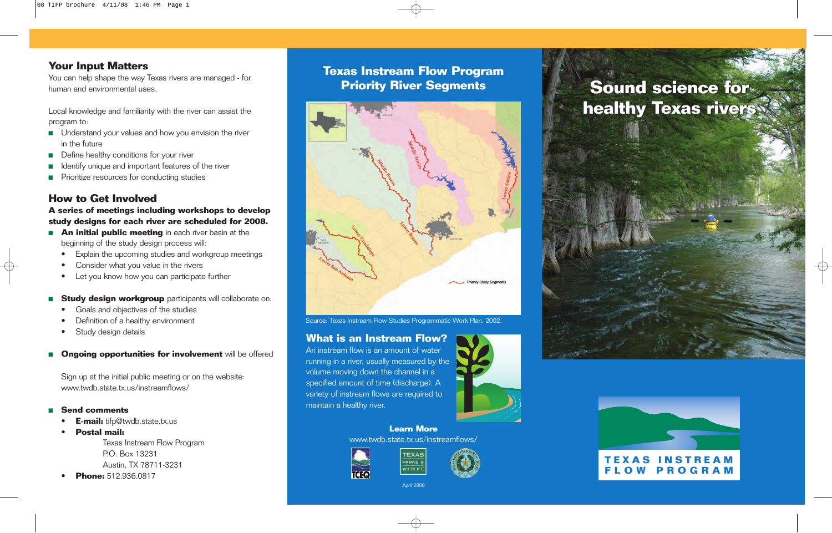## **Your Input Matters**

You can help shape the way Texas rivers are managed - for human and environmental uses.

Local knowledge and familiarity with the river can assist the program to:

- Understand your values and how you envision the river in the future
- Define healthy conditions for your river
- Identify unique and important features of the river
- Prioritize resources for conducting studies

## **How to Get Involved**

**A series of meetings including workshops to develop study designs for each river are scheduled for 2008.**

- **An initial public meeting** in each river basin at the beginning of the study design process will:
	- Explain the upcoming studies and workgroup meetings
	- Consider what you value in the rivers
	- Let you know how you can participate further
- **Study design workgroup** participants will collaborate on:
	- Goals and objectives of the studies
	- Definition of a healthy environment
	- Study design details
- **Ongoing opportunities for involvement** will be offered

Sign up at the initial public meeting or on the website: www.twdb.state.tx.us/instreamflows/

### ■ **Send comments**

- **E-mail:** tifp@twdb.state.tx.us
- **Postal mail:**  Texas Instream Flow Program P.O. Box 13231 Austin, TX 78711-3231
- **Phone:** 512.936.0817

# **Texas Instream Flow Program Priority River Segments**



Source: Texas Instream Flow Studies Programmatic Work Plan, 2002.

## **What is an Instream Flow?**

An instream flow is an amount of water running in a river, usually measured by the volume moving down the channel in a specified amount of time (discharge). A variety of instream flows are required to maintain a healthy river.



**Learn More** www.twdb.state.tx.us/instreamflows/





April 2008

# **Sound science for Sound science for healthy Texas rivers healthy Texas rivers**